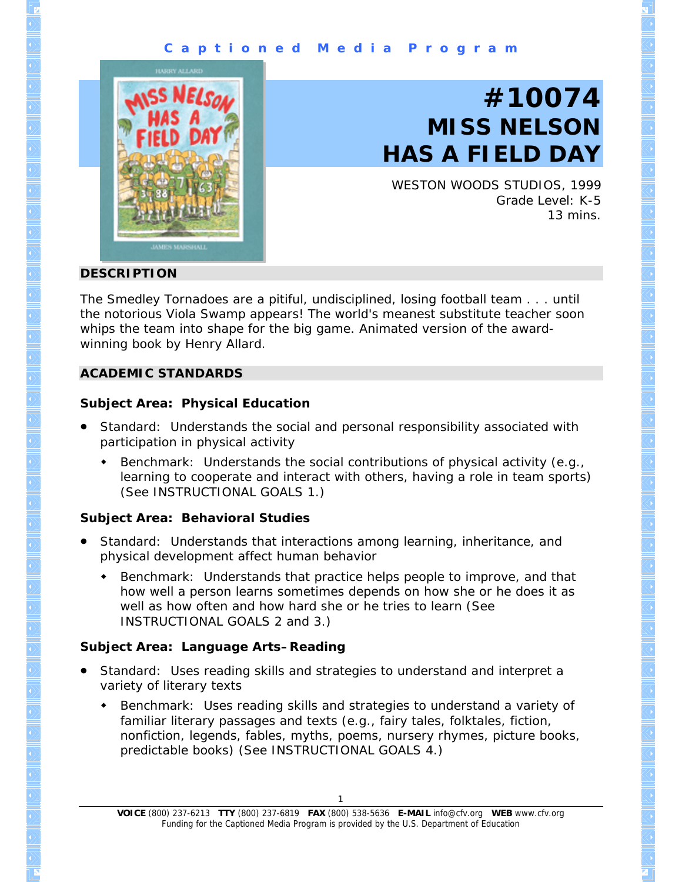## **C a p t i o n e d M e d i a P r o g r a m**



# **#10074 MISS NELSON HAS A FIELD DAY**

WESTON WOODS STUDIOS, 1999 Grade Level: K-5 13 mins.

### **DESCRIPTION**

The Smedley Tornadoes are a pitiful, undisciplined, losing football team . . . until the notorious Viola Swamp appears! The world's meanest substitute teacher soon whips the team into shape for the big game. Animated version of the awardwinning book by Henry Allard.

### **ACADEMIC STANDARDS**

## **Subject Area: Physical Education**

- Standard: Understands the social and personal responsibility associated with participation in physical activity
	- Benchmark: Understands the social contributions of physical activity (e.g., learning to cooperate and interact with others, having a role in team sports) (See INSTRUCTIONAL GOALS 1.)

## **Subject Area: Behavioral Studies**

- Standard: Understands that interactions among learning, inheritance, and physical development affect human behavior
	- **Benchmark: Understands that practice helps people to improve, and that** how well a person learns sometimes depends on how she or he does it as well as how often and how hard she or he tries to learn (See INSTRUCTIONAL GOALS 2 and 3.)

## **Subject Area: Language Arts–Reading**

- Standard: Uses reading skills and strategies to understand and interpret a variety of literary texts
	- Benchmark: Uses reading skills and strategies to understand a variety of familiar literary passages and texts (e.g., fairy tales, folktales, fiction, nonfiction, legends, fables, myths, poems, nursery rhymes, picture books, predictable books) (See INSTRUCTIONAL GOALS 4.)

**VOICE** (800) 237-6213 **TTY** (800) 237-6819 **FAX** (800) 538-5636 **E-MAIL** info@cfv.org **WEB** www.cfv.org Funding for the Captioned Media Program is provided by the U.S. Department of Education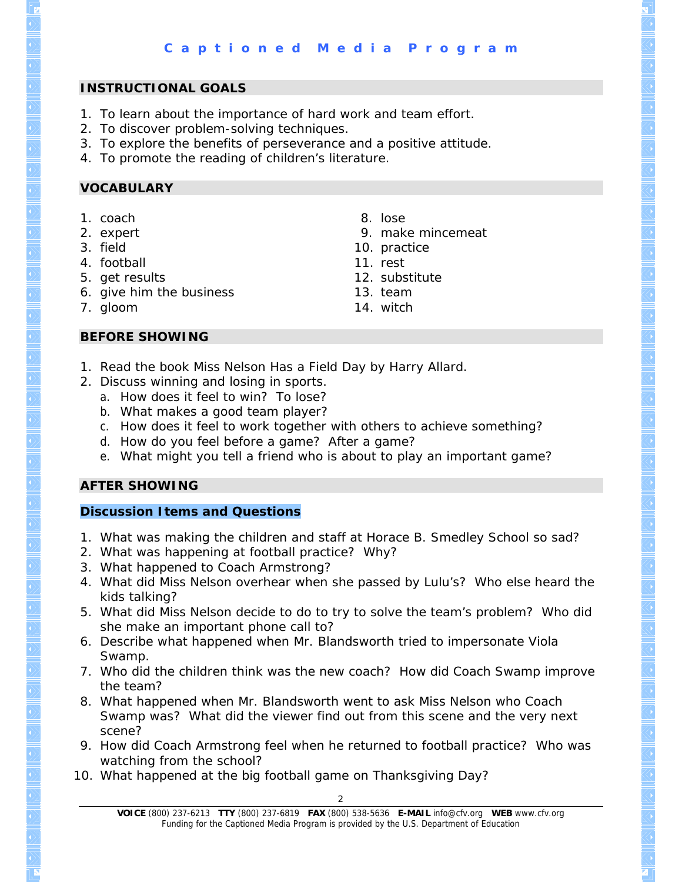## **INSTRUCTIONAL GOALS**

- 1. To learn about the importance of hard work and team effort.
- 2. To discover problem-solving techniques.
- 3. To explore the benefits of perseverance and a positive attitude.
- 4. To promote the reading of children's literature.

## **VOCABULARY**

- 1. coach
- 2. expert
- 3. field
- 4. football
- 5. get results
- 6. give him the business
- 7. gloom
- 8. lose
- 9. make mincemeat
- 10. practice
- 11. rest
- 12. substitute
- 13. team
- 14. witch

- **BEFORE SHOWING**
- 1. Read the book *Miss Nelson Has a Field Day* by Harry Allard.
- 2. Discuss winning and losing in sports.
	- a. How does it feel to win? To lose?
		- b. What makes a good team player?
	- c. How does it feel to work together with others to achieve something?
	- d. How do you feel before a game? After a game?
	- e. What might you tell a friend who is about to play an important game?

## **AFTER SHOWING**

## **Discussion Items and Questions**

- 1. What was making the children and staff at Horace B. Smedley School so sad?
- 2. What was happening at football practice? Why?
- 3. What happened to Coach Armstrong?
- 4. What did Miss Nelson overhear when she passed by Lulu's? Who else heard the kids talking?
- 5. What did Miss Nelson decide to do to try to solve the team's problem? Who did she make an important phone call to?
- 6. Describe what happened when Mr. Blandsworth tried to impersonate Viola Swamp.
- 7. Who did the children think was the new coach? How did Coach Swamp improve the team?
- 8. What happened when Mr. Blandsworth went to ask Miss Nelson who Coach Swamp was? What did the viewer find out from this scene and the very next scene?
- 9. How did Coach Armstrong feel when he returned to football practice? Who was watching from the school?
- 10. What happened at the big football game on Thanksgiving Day?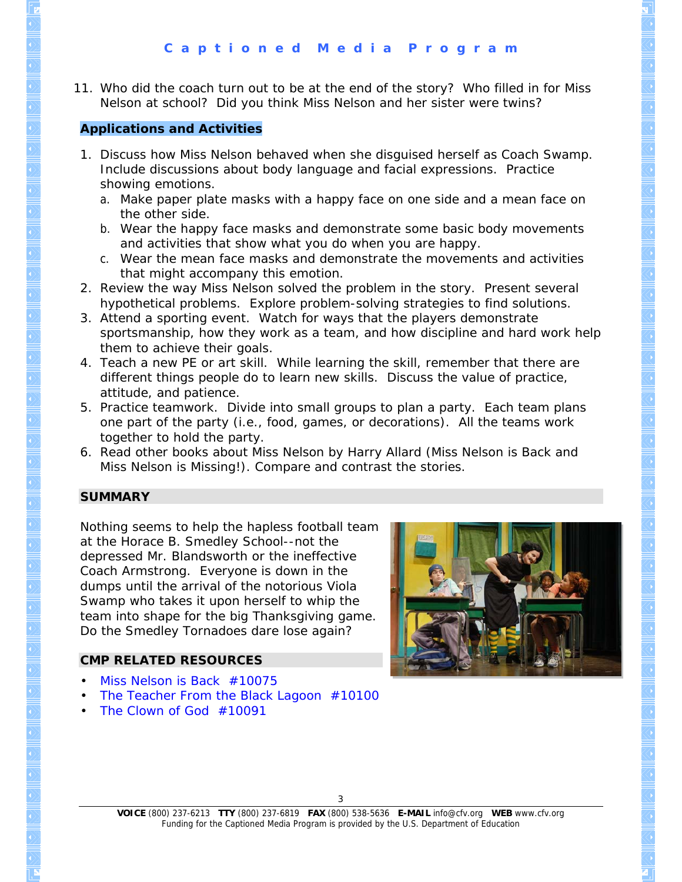11. Who did the coach turn out to be at the end of the story? Who filled in for Miss Nelson at school? Did you think Miss Nelson and her sister were twins?

## **Applications and Activities**

- 1. Discuss how Miss Nelson behaved when she disguised herself as Coach Swamp. Include discussions about body language and facial expressions. Practice showing emotions.
	- a. Make paper plate masks with a happy face on one side and a mean face on the other side.
	- b. Wear the happy face masks and demonstrate some basic body movements and activities that show what you do when you are happy.
	- c. Wear the mean face masks and demonstrate the movements and activities that might accompany this emotion.
- 2. Review the way Miss Nelson solved the problem in the story. Present several hypothetical problems. Explore problem-solving strategies to find solutions.
- 3. Attend a sporting event. Watch for ways that the players demonstrate sportsmanship, how they work as a team, and how discipline and hard work help them to achieve their goals.
- 4. Teach a new PE or art skill. While learning the skill, remember that there are different things people do to learn new skills. Discuss the value of practice, attitude, and patience.
- 5. Practice teamwork. Divide into small groups to plan a party. Each team plans one part of the party (i.e., food, games, or decorations). All the teams work together to hold the party.
- 6. Read other books about Miss Nelson by Harry Allard (*Miss Nelson is Back* and *Miss Nelson is Missing!*). Compare and contrast the stories.

## **SUMMARY**

Nothing seems to help the hapless football team at the Horace B. Smedley School--not the depressed Mr. Blandsworth or the ineffective Coach Armstrong. Everyone is down in the dumps until the arrival of the notorious Viola Swamp who takes it upon herself to whip the team into shape for the big Thanksgiving game. Do the Smedley Tornadoes dare lose again?

## **CMP RELATED RESOURCES**

- *[Miss Nelson is Back](http://www.cfv.org/titledetail.asp?dn=10075)* #10075
- *[The Teacher From the Black Lagoon](http://www.cfv.org/titledetail.asp?dn=10100)* #10100
- *[The Clown of God](http://www.cfv.org/titledetail.asp?dn=10091)* #10091



3

**VOICE** (800) 237-6213 **TTY** (800) 237-6819 **FAX** (800) 538-5636 **E-MAIL** info@cfv.org **WEB** www.cfv.org Funding for the Captioned Media Program is provided by the U.S. Department of Education